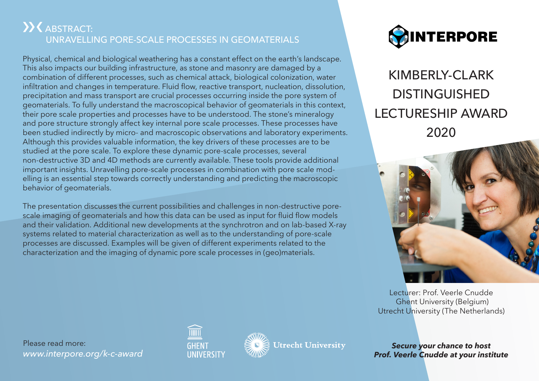## X ABSTRACT: UNRAVELLING PORE-SCALE PROCESSES IN GEOMATERIALS

Physical, chemical and biological weathering has a constant effect on the earth's landscape. This also impacts our building infrastructure, as stone and masonry are damaged by a combination of different processes, such as chemical attack, biological colonization, water infiltration and changes in temperature. Fluid flow, reactive transport, nucleation, dissolution, precipitation and mass transport are crucial processes occurring inside the pore system of geomaterials. To fully understand the macroscopical behavior of geomaterials in this context, their pore scale properties and processes have to be understood. The stone's mineralogy and pore structure strongly affect key internal pore scale processes. These processes have been studied indirectly by micro- and macroscopic observations and laboratory experiments. Although this provides valuable information, the key drivers of these processes are to be studied at the pore scale. To explore these dynamic pore-scale processes, several non-destructive 3D and 4D methods are currently available. These tools provide additional important insights. Unravelling pore-scale processes in combination with pore scale modelling is an essential step towards correctly understanding and predicting the macroscopic behavior of geomaterials.

The presentation discusses the current possibilities and challenges in non-destructive porescale imaging of geomaterials and how this data can be used as input for fluid flow models and their validation. Additional new developments at the synchrotron and on lab-based X-ray systems related to material characterization as well as to the understanding of pore-scale processes are discussed. Examples will be given of different experiments related to the characterization and the imaging of dynamic pore scale processes in (geo)materials.



KIMBERLY-CLARK **DISTINGUISHED** LECTURESHIP AWARD 2020



Lecturer: Prof. Veerle Cnudde Ghent University (Belgium) Utrecht University (The Netherlands)

#### *Secure your chance to host Prof. Veerle Cnudde at your institute*

Please read more: *www.interpore.org/k-c-award*